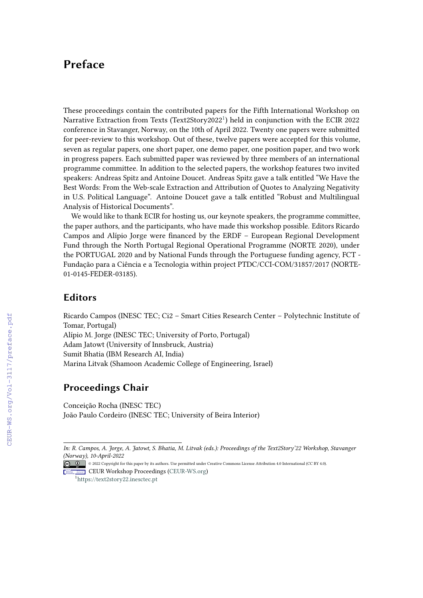# **Preface**

These proceedings contain the contributed papers for the Fifth International Workshop on Narrative Extraction from Texts (Text2Story2022<sup>[1](#page-0-0)</sup>) held in conjunction with the ECIR 2022 conference in Stavanger, Norway, on the 10th of April 2022. Twenty one papers were submitted for peer-review to this workshop. Out of these, twelve papers were accepted for this volume, seven as regular papers, one short paper, one demo paper, one position paper, and two work in progress papers. Each submitted paper was reviewed by three members of an international programme committee. In addition to the selected papers, the workshop features two invited speakers: Andreas Spitz and Antoine Doucet. Andreas Spitz gave a talk entitled "We Have the Best Words: From the Web-scale Extraction and Attribution of Quotes to Analyzing Negativity in U.S. Political Language". Antoine Doucet gave a talk entitled "Robust and Multilingual Analysis of Historical Documents".

We would like to thank ECIR for hosting us, our keynote speakers, the programme committee, the paper authors, and the participants, who have made this workshop possible. Editors Ricardo Campos and Alípio Jorge were financed by the ERDF – European Regional Development Fund through the North Portugal Regional Operational Programme (NORTE 2020), under the PORTUGAL 2020 and by National Funds through the Portuguese funding agency, FCT - Fundação para a Ciência e a Tecnologia within project PTDC/CCI-COM/31857/2017 (NORTE-01-0145-FEDER-03185).

#### **Editors**

Ricardo Campos (INESC TEC; Ci2 – Smart Cities Research Center – Polytechnic Institute of Tomar, Portugal) Alípio M. Jorge (INESC TEC; University of Porto, Portugal) Adam Jatowt (University of Innsbruck, Austria) Sumit Bhatia (IBM Research AI, India) Marina Litvak (Shamoon Academic College of Engineering, Israel)

#### **Proceedings Chair**

Conceição Rocha (INESC TEC) João Paulo Cordeiro (INESC TEC; University of Beira Interior)

<span id="page-0-0"></span>1 <https://text2story22.inesctec.pt>

*In: R. Campos, A. Jorge, A. Jatowt, S. Bhatia, M. Litvak (eds.): Proceedings of the Text2Story'22 Workshop, Stavanger [\(Norway\)](https://creativecommons.org/licenses/by/4.0), 10-April-2022*

<sup>©</sup> 2022 Copyright for this paper by its authors. Use permitted under Creative Commons License Attribution 4.0 International (CC BY 4.0). CEUR Workshop answers [Proceedings](http://ceur-ws.org) **EDR Workshop Proceedings [\(CEUR-WS.org\)](http://ceur-ws.org)**